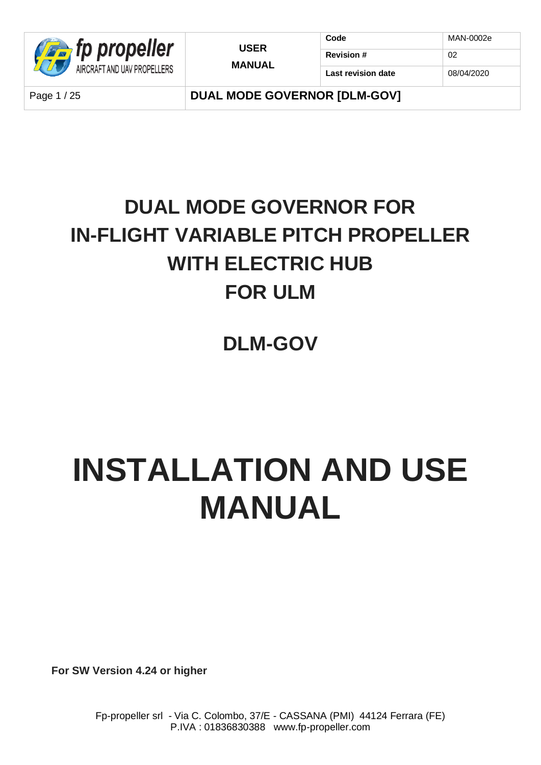

**Code** MAN-0002e

Page 1/25 **DUAL MODE GOVERNOR IDLM-GOVI** 

## **DUAL MODE GOVERNOR FOR IN-FLIGHT VARIABLE PITCH PROPELLER WITH ELECTRIC HUB FOR ULM**

**DLM-GOV**

# **INSTALLATION AND USE MANUAL**

**For SW Version 4.24 or higher**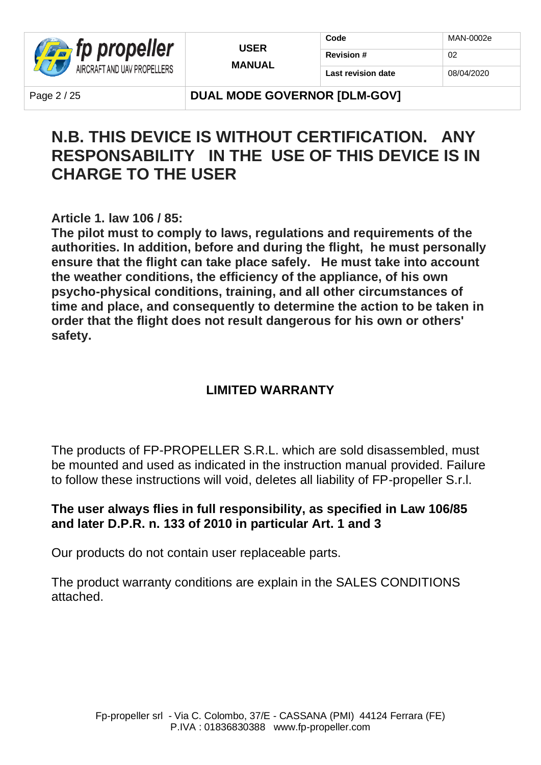

| Code               | MAN-0002e  |
|--------------------|------------|
| <b>Revision #</b>  | 02         |
| Last revision date | 08/04/2020 |

Page 2/25 **DUAL MODE GOVERNOR IDLM-GOVI** 

### **N.B. THIS DEVICE IS WITHOUT CERTIFICATION. ANY RESPONSABILITY IN THE USE OF THIS DEVICE IS IN CHARGE TO THE USER**

**Article 1. law 106 / 85:**

**The pilot must to comply to laws, regulations and requirements of the authorities. In addition, before and during the flight, he must personally ensure that the flight can take place safely. He must take into account the weather conditions, the efficiency of the appliance, of his own psycho-physical conditions, training, and all other circumstances of time and place, and consequently to determine the action to be taken in order that the flight does not result dangerous for his own or others' safety.**

### **LIMITED WARRANTY**

The products of FP-PROPELLER S.R.L. which are sold disassembled, must be mounted and used as indicated in the instruction manual provided. Failure to follow these instructions will void, deletes all liability of FP-propeller S.r.l.

#### **The user always flies in full responsibility, as specified in Law 106/85 and later D.P.R. n. 133 of 2010 in particular Art. 1 and 3**

Our products do not contain user replaceable parts.

The product warranty conditions are explain in the SALES CONDITIONS attached.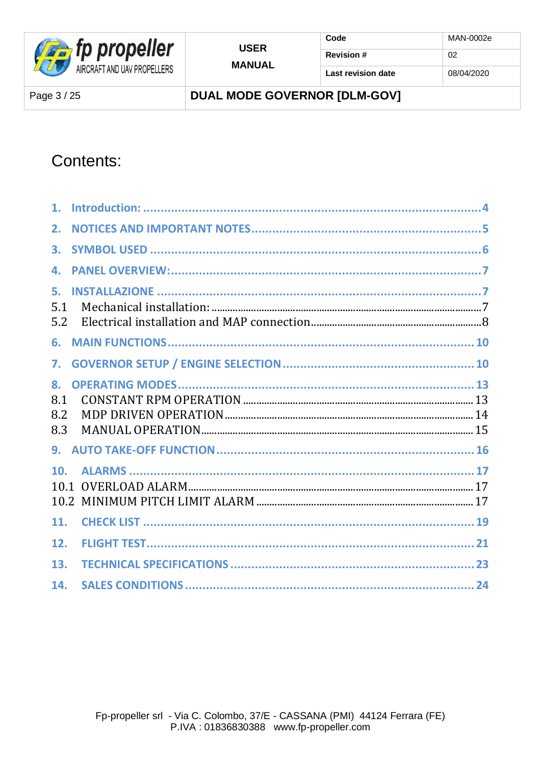

**DUAL MODE GOVERNOR [DLM-GOV]** 

### Contents:

| 1.                      |  |
|-------------------------|--|
| 2.                      |  |
| 3.                      |  |
| 4.                      |  |
| 5.<br>5.1<br>5.2        |  |
| 6.                      |  |
| 7.                      |  |
| 8.<br>8.1<br>8.2<br>8.3 |  |
|                         |  |
| 10.<br>10.1             |  |
| 11.                     |  |
| 12.                     |  |
| 13.                     |  |
| 14.                     |  |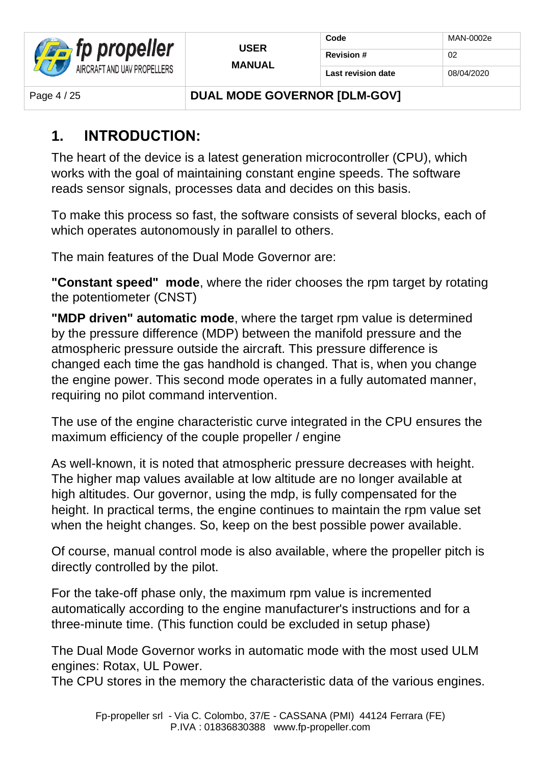

Page 4/25 **DUAL MODE GOVERNOR IDLM-GOVI** 

### **1. INTRODUCTION:**

The heart of the device is a latest generation microcontroller (CPU), which works with the goal of maintaining constant engine speeds. The software reads sensor signals, processes data and decides on this basis.

To make this process so fast, the software consists of several blocks, each of which operates autonomously in parallel to others.

The main features of the Dual Mode Governor are:

**"Constant speed" mode**, where the rider chooses the rpm target by rotating the potentiometer (CNST)

**"MDP driven" automatic mode**, where the target rpm value is determined by the pressure difference (MDP) between the manifold pressure and the atmospheric pressure outside the aircraft. This pressure difference is changed each time the gas handhold is changed. That is, when you change the engine power. This second mode operates in a fully automated manner, requiring no pilot command intervention.

The use of the engine characteristic curve integrated in the CPU ensures the maximum efficiency of the couple propeller / engine

As well-known, it is noted that atmospheric pressure decreases with height. The higher map values available at low altitude are no longer available at high altitudes. Our governor, using the mdp, is fully compensated for the height. In practical terms, the engine continues to maintain the rpm value set when the height changes. So, keep on the best possible power available.

Of course, manual control mode is also available, where the propeller pitch is directly controlled by the pilot.

For the take-off phase only, the maximum rpm value is incremented automatically according to the engine manufacturer's instructions and for a three-minute time. (This function could be excluded in setup phase)

The Dual Mode Governor works in automatic mode with the most used ULM engines: Rotax, UL Power.

The CPU stores in the memory the characteristic data of the various engines.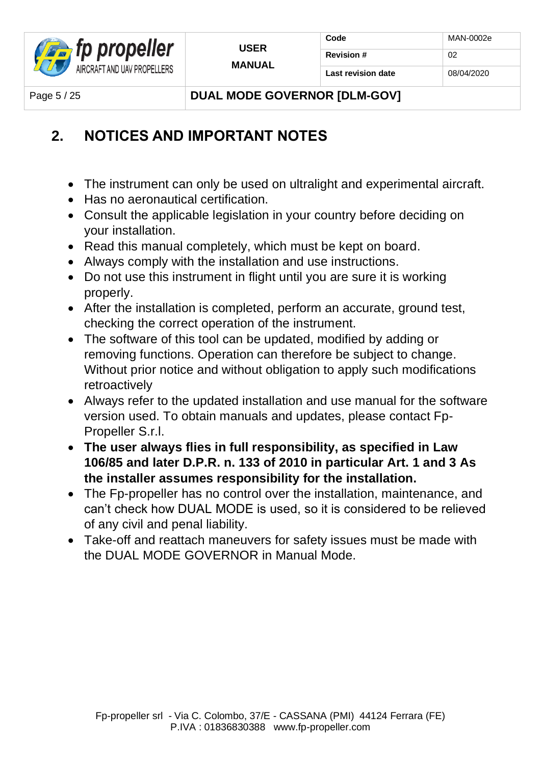

Page 5 / 25 **DUAL MODE GOVERNOR IDLM-GOVI** 

### **2. NOTICES AND IMPORTANT NOTES**

- The instrument can only be used on ultralight and experimental aircraft.
- Has no aeronautical certification.
- Consult the applicable legislation in your country before deciding on your installation.
- Read this manual completely, which must be kept on board.
- Always comply with the installation and use instructions.
- Do not use this instrument in flight until you are sure it is working properly.
- After the installation is completed, perform an accurate, ground test, checking the correct operation of the instrument.
- The software of this tool can be updated, modified by adding or removing functions. Operation can therefore be subject to change. Without prior notice and without obligation to apply such modifications retroactively
- Always refer to the updated installation and use manual for the software version used. To obtain manuals and updates, please contact Fp-Propeller S.r.l.
- **The user always flies in full responsibility, as specified in Law 106/85 and later D.P.R. n. 133 of 2010 in particular Art. 1 and 3 As the installer assumes responsibility for the installation.**
- The Fp-propeller has no control over the installation, maintenance, and can't check how DUAL MODE is used, so it is considered to be relieved of any civil and penal liability.
- Take-off and reattach maneuvers for safety issues must be made with the DUAL MODE GOVERNOR in Manual Mode.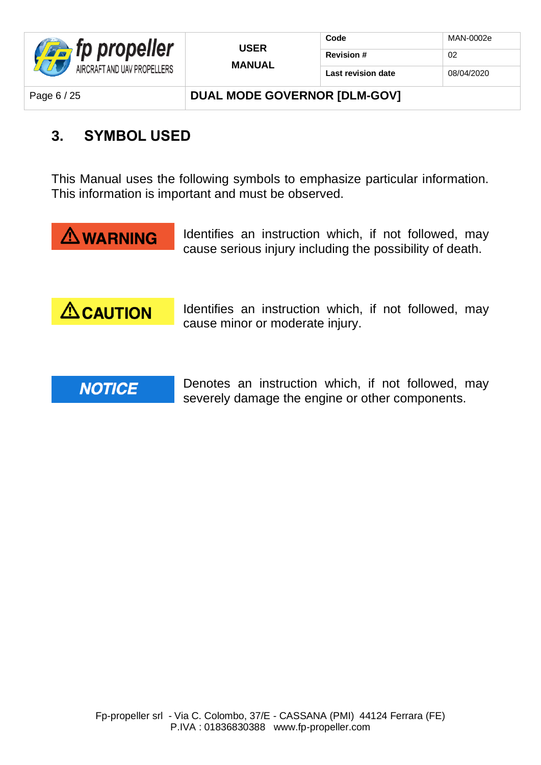

| <b>USER</b>   | Code               | MAN-0002e  |
|---------------|--------------------|------------|
| <b>MANUAL</b> | <b>Revision #</b>  | 02         |
|               | Last revision date | 08/04/2020 |

Page 6 / 25 **DUAL MODE GOVERNOR IDLM-GOVI** 

### **3. SYMBOL USED**

This Manual uses the following symbols to emphasize particular information. This information is important and must be observed.



Identifies an instruction which, if not followed, may cause serious injury including the possibility of death.



Identifies an instruction which, if not followed, may cause minor or moderate injury.



Denotes an instruction which, if not followed, may severely damage the engine or other components.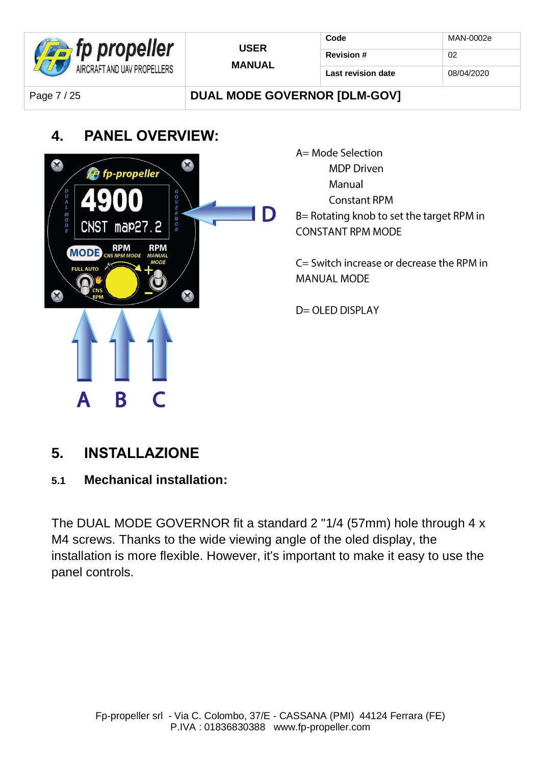| <b>Extra</b> fp propeller   | <b>USER</b><br><b>MANUAL</b> | Code               | MAN-0002e  |
|-----------------------------|------------------------------|--------------------|------------|
|                             |                              | <b>Revision #</b>  | 02         |
| AIRCRAFT AND UAV PROPELLERS |                              | Last revision date | 08/04/2020 |
|                             |                              |                    |            |

### Page 7 / 25 **DUAL MODE GOVERNOR [DLM-GOV]**

### **4. PANEL OVERVIEW:**



### **5. INSTALLAZIONE**

**5.1 Mechanical installation:**

The DUAL MODE GOVERNOR fit a standard 2 "1/4 (57mm) hole through 4 x M4 screws. Thanks to the wide viewing angle of the oled display, the installation is more flexible. However, it's important to make it easy to use the panel controls.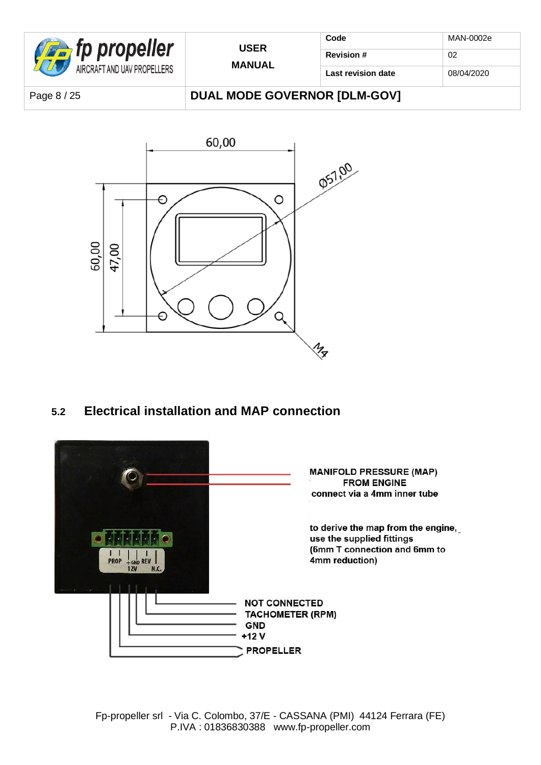

| <b>USER</b>   | Code               | MAN-0002e  |
|---------------|--------------------|------------|
| <b>MANUAL</b> | <b>Revision #</b>  | 02         |
|               | Last revision date | 08/04/2020 |

Page 8 / 25 **DUAL MODE GOVERNOR [DLM-GOV]** 



**5.2 Electrical installation and MAP connection**

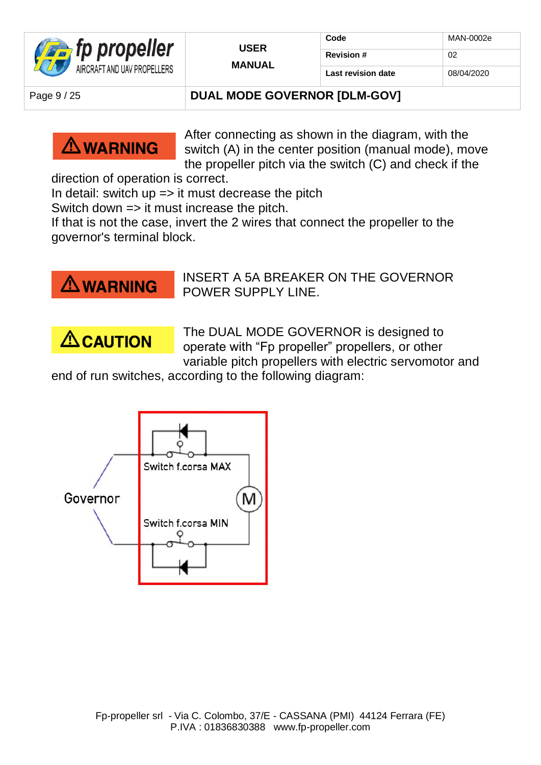

### Page 9/25 **DUAL MODE GOVERNOR IDLM-GOVI**



After connecting as shown in the diagram, with the switch (A) in the center position (manual mode), move the propeller pitch via the switch (C) and check if the

direction of operation is correct.

In detail: switch  $up \Rightarrow$  it must decrease the pitch

Switch down => it must increase the pitch.

If that is not the case, invert the 2 wires that connect the propeller to the governor's terminal block.



INSERT A 5A BREAKER ON THE GOVERNOR POWER SUPPLY LINE.



The DUAL MODE GOVERNOR is designed to operate with "Fp propeller" propellers, or other variable pitch propellers with electric servomotor and

end of run switches, according to the following diagram:

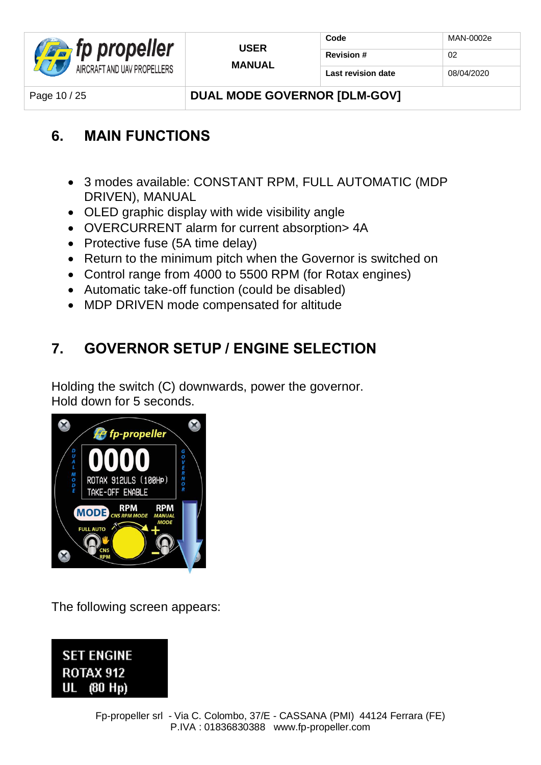

Page 10 / 25 **DUAL MODE GOVERNOR IDLM-GOVI** 

### **6. MAIN FUNCTIONS**

- 3 modes available: CONSTANT RPM, FULL AUTOMATIC (MDP DRIVEN), MANUAL
- OLED graphic display with wide visibility angle
- OVERCURRENT alarm for current absorption> 4A
- Protective fuse (5A time delay)
- Return to the minimum pitch when the Governor is switched on
- Control range from 4000 to 5500 RPM (for Rotax engines)
- Automatic take-off function (could be disabled)
- MDP DRIVEN mode compensated for altitude

### **7. GOVERNOR SETUP / ENGINE SELECTION**

Holding the switch (C) downwards, power the governor. Hold down for 5 seconds.



The following screen appears:

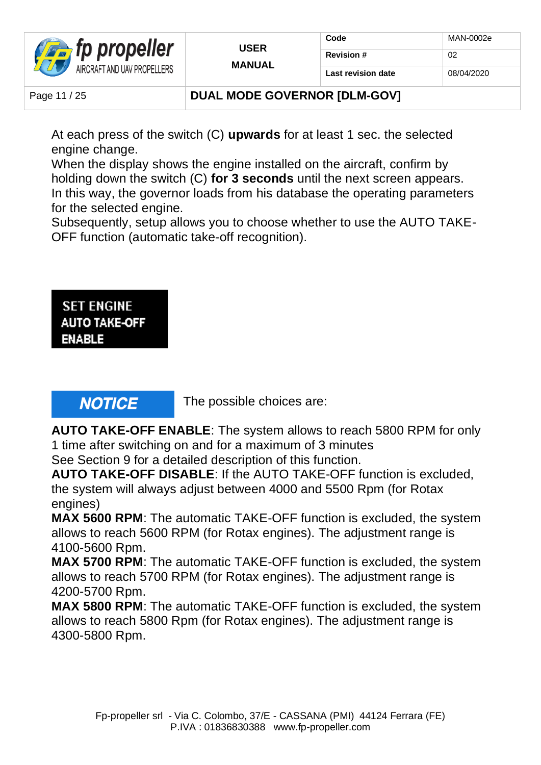

#### Page 11 / 25 **DUAL MODE GOVERNOR IDLM-GOVI**

At each press of the switch (C) **upwards** for at least 1 sec. the selected engine change.

When the display shows the engine installed on the aircraft, confirm by holding down the switch (C) **for 3 seconds** until the next screen appears. In this way, the governor loads from his database the operating parameters for the selected engine.

Subsequently, setup allows you to choose whether to use the AUTO TAKE-OFF function (automatic take-off recognition).

**SET ENGINE AUTO TAKE-OFF ENABLE** 

### **NOTICE**

The possible choices are:

**AUTO TAKE-OFF ENABLE**: The system allows to reach 5800 RPM for only 1 time after switching on and for a maximum of 3 minutes

See Section 9 for a detailed description of this function.

**AUTO TAKE-OFF DISABLE**: If the AUTO TAKE-OFF function is excluded, the system will always adjust between 4000 and 5500 Rpm (for Rotax engines)

**MAX 5600 RPM**: The automatic TAKE-OFF function is excluded, the system allows to reach 5600 RPM (for Rotax engines). The adjustment range is 4100-5600 Rpm.

**MAX 5700 RPM**: The automatic TAKE-OFF function is excluded, the system allows to reach 5700 RPM (for Rotax engines). The adjustment range is 4200-5700 Rpm.

**MAX 5800 RPM**: The automatic TAKE-OFF function is excluded, the system allows to reach 5800 Rpm (for Rotax engines). The adjustment range is 4300-5800 Rpm.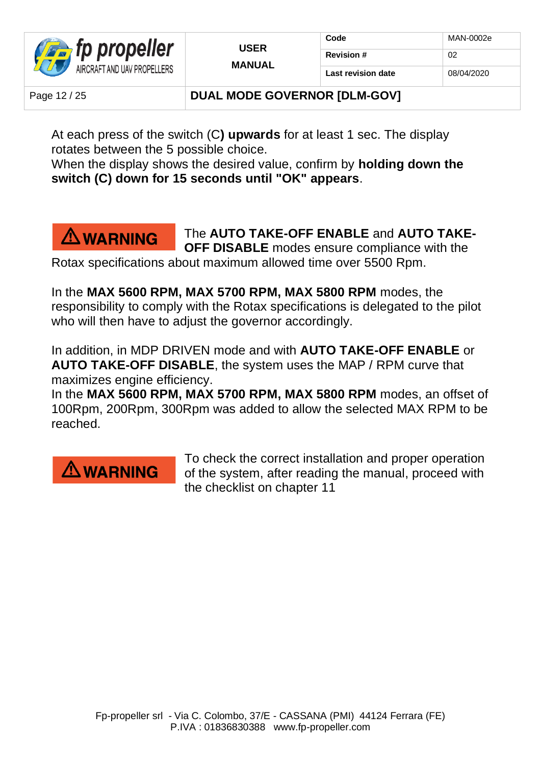

### Page 12 / 25 **DUAL MODE GOVERNOR IDLM-GOVI**

At each press of the switch (C**) upwards** for at least 1 sec. The display rotates between the 5 possible choice.

When the display shows the desired value, confirm by **holding down the switch (C) down for 15 seconds until "OK" appears**.

### $\triangle$  WARNING

The **AUTO TAKE-OFF ENABLE** and **AUTO TAKE-OFF DISABLE** modes ensure compliance with the

Rotax specifications about maximum allowed time over 5500 Rpm.

In the **MAX 5600 RPM, MAX 5700 RPM, MAX 5800 RPM** modes, the responsibility to comply with the Rotax specifications is delegated to the pilot who will then have to adjust the governor accordingly.

In addition, in MDP DRIVEN mode and with **AUTO TAKE-OFF ENABLE** or **AUTO TAKE-OFF DISABLE**, the system uses the MAP / RPM curve that maximizes engine efficiency.

In the **MAX 5600 RPM, MAX 5700 RPM, MAX 5800 RPM** modes, an offset of 100Rpm, 200Rpm, 300Rpm was added to allow the selected MAX RPM to be reached.

### $\triangle$  WARNING

To check the correct installation and proper operation of the system, after reading the manual, proceed with the checklist on chapter 11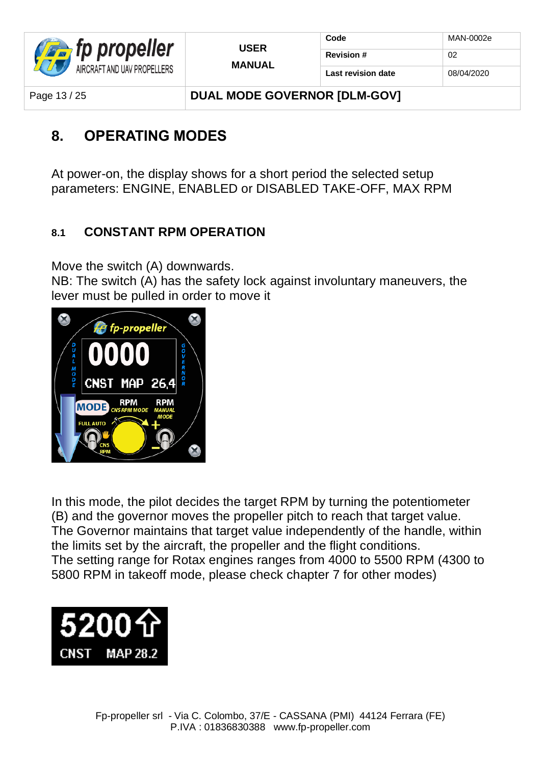

| Code                      | MAN-0002e  |
|---------------------------|------------|
| <b>Revision #</b>         | 02         |
| <b>Last revision date</b> | 08/04/2020 |

Page 13 / 25 **DUAL MODE GOVERNOR IDLM-GOVI** 

### **8. OPERATING MODES**

At power-on, the display shows for a short period the selected setup parameters: ENGINE, ENABLED or DISABLED TAKE-OFF, MAX RPM

**USER MANUAL**

### **8.1 CONSTANT RPM OPERATION**

Move the switch (A) downwards.

NB: The switch (A) has the safety lock against involuntary maneuvers, the lever must be pulled in order to move it



In this mode, the pilot decides the target RPM by turning the potentiometer (B) and the governor moves the propeller pitch to reach that target value. The Governor maintains that target value independently of the handle, within the limits set by the aircraft, the propeller and the flight conditions. The setting range for Rotax engines ranges from 4000 to 5500 RPM (4300 to 5800 RPM in takeoff mode, please check chapter 7 for other modes)

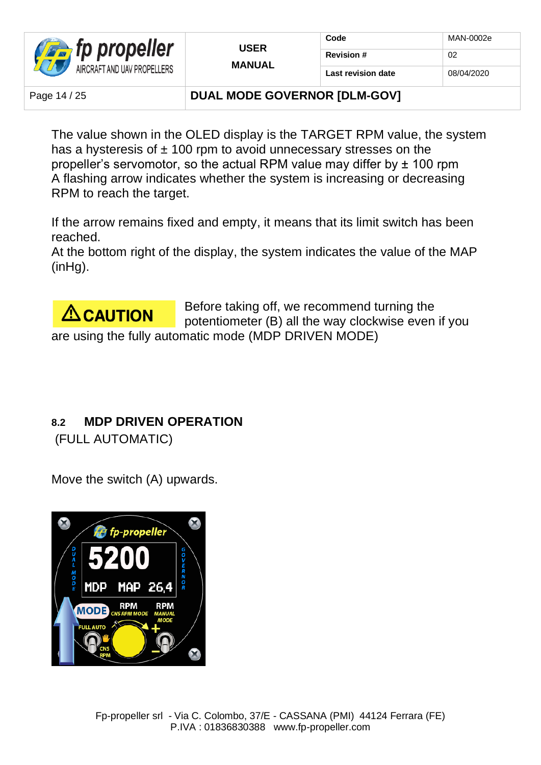

Page 14 / 25 **DUAL MODE GOVERNOR IDLM-GOVI** 

The value shown in the OLED display is the TARGET RPM value, the system has a hysteresis of  $\pm$  100 rpm to avoid unnecessary stresses on the propeller's servomotor, so the actual RPM value may differ by ± 100 rpm A flashing arrow indicates whether the system is increasing or decreasing RPM to reach the target.

If the arrow remains fixed and empty, it means that its limit switch has been reached.

At the bottom right of the display, the system indicates the value of the MAP (inHg).



Before taking off, we recommend turning the potentiometer (B) all the way clockwise even if you are using the fully automatic mode (MDP DRIVEN MODE)

### **8.2 MDP DRIVEN OPERATION**

(FULL AUTOMATIC)

Move the switch (A) upwards.

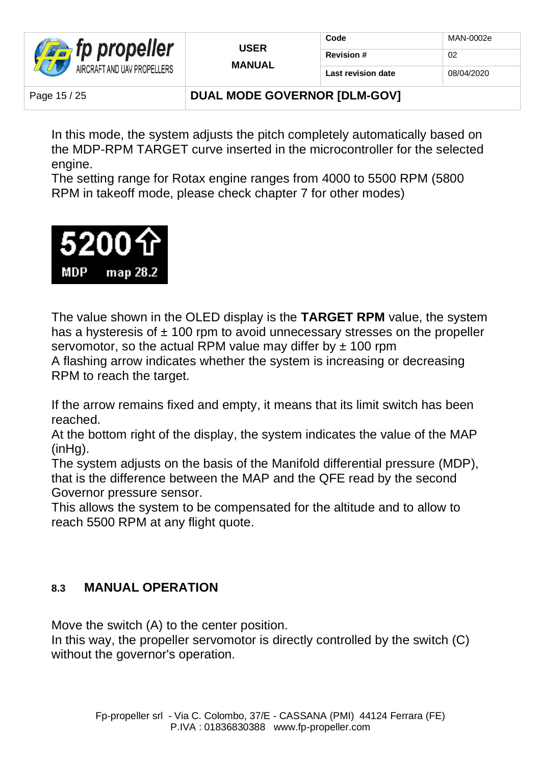

Page 15 / 25 **DUAL MODE GOVERNOR IDLM-GOVI** 

In this mode, the system adjusts the pitch completely automatically based on the MDP-RPM TARGET curve inserted in the microcontroller for the selected engine.

The setting range for Rotax engine ranges from 4000 to 5500 RPM (5800 RPM in takeoff mode, please check chapter 7 for other modes)



The value shown in the OLED display is the **TARGET RPM** value, the system has a hysteresis of  $\pm$  100 rpm to avoid unnecessary stresses on the propeller servomotor, so the actual RPM value may differ by  $\pm$  100 rpm A flashing arrow indicates whether the system is increasing or decreasing RPM to reach the target.

If the arrow remains fixed and empty, it means that its limit switch has been reached.

At the bottom right of the display, the system indicates the value of the MAP (inHg).

The system adjusts on the basis of the Manifold differential pressure (MDP), that is the difference between the MAP and the QFE read by the second Governor pressure sensor.

This allows the system to be compensated for the altitude and to allow to reach 5500 RPM at any flight quote.

### **8.3 MANUAL OPERATION**

Move the switch (A) to the center position.

In this way, the propeller servomotor is directly controlled by the switch (C) without the governor's operation.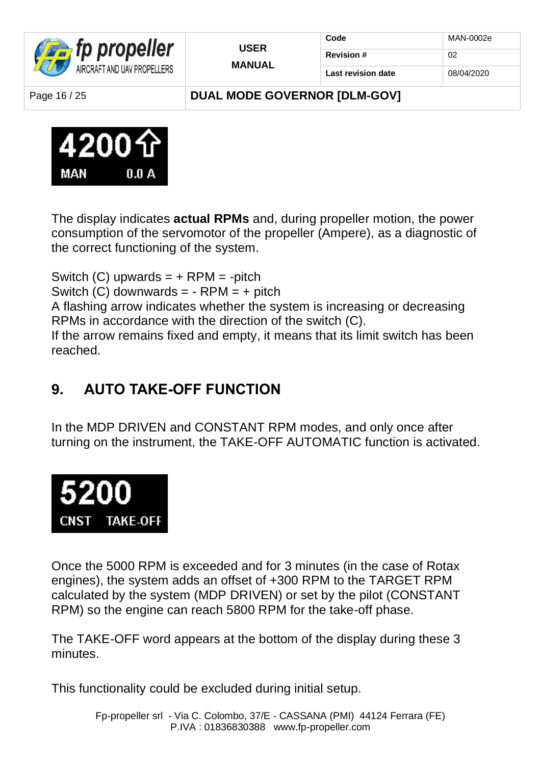

| <b>USER</b>   | Code               | MAN-0002e  |
|---------------|--------------------|------------|
|               | <b>Revision #</b>  | 02         |
| <b>MANUAL</b> | Last revision date | 08/04/2020 |

Page 16 / 25 **DUAL MODE GOVERNOR IDLM-GOVI** 



The display indicates **actual RPMs** and, during propeller motion, the power consumption of the servomotor of the propeller (Ampere), as a diagnostic of the correct functioning of the system.

Switch  $(C)$  upwards =  $+$  RPM = -pitch Switch  $(C)$  downwards =  $-RPM = +$  pitch A flashing arrow indicates whether the system is increasing or decreasing RPMs in accordance with the direction of the switch (C). If the arrow remains fixed and empty, it means that its limit switch has been reached.

### **9. AUTO TAKE-OFF FUNCTION**

In the MDP DRIVEN and CONSTANT RPM modes, and only once after turning on the instrument, the TAKE-OFF AUTOMATIC function is activated.



Once the 5000 RPM is exceeded and for 3 minutes (in the case of Rotax engines), the system adds an offset of +300 RPM to the TARGET RPM calculated by the system (MDP DRIVEN) or set by the pilot (CONSTANT RPM) so the engine can reach 5800 RPM for the take-off phase.

The TAKE-OFF word appears at the bottom of the display during these 3 minutes.

This functionality could be excluded during initial setup.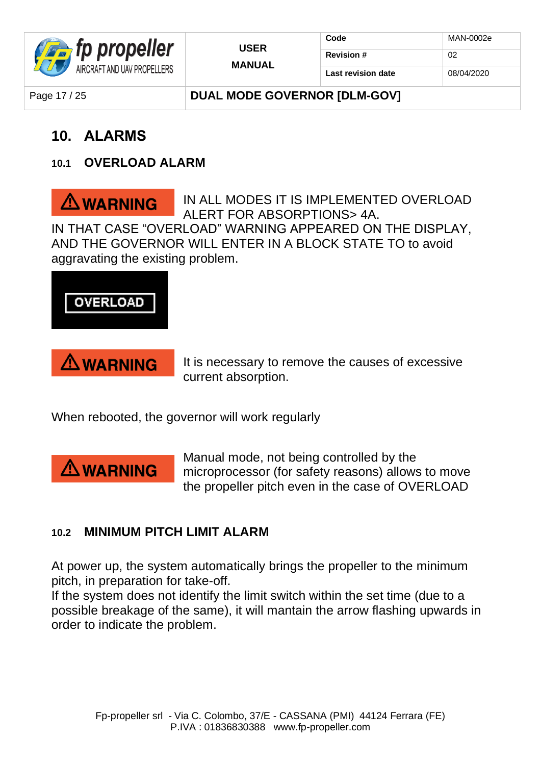

Page 17 / 25 **DUAL MODE GOVERNOR IDLM-GOVI** 

### **10. ALARMS**

### **10.1 OVERLOAD ALARM**

IN ALL MODES IT IS IMPLEMENTED OVERLOAD  $\triangle$  WARNING ALERT FOR ABSORPTIONS> 4A. IN THAT CASE "OVERLOAD" WARNING APPEARED ON THE DISPLAY, AND THE GOVERNOR WILL ENTER IN A BLOCK STATE TO to avoid aggravating the existing problem.



### **WARNING**

It is necessary to remove the causes of excessive current absorption.

When rebooted, the governor will work regularly



Manual mode, not being controlled by the microprocessor (for safety reasons) allows to move the propeller pitch even in the case of OVERLOAD

### **10.2 MINIMUM PITCH LIMIT ALARM**

At power up, the system automatically brings the propeller to the minimum pitch, in preparation for take-off.

If the system does not identify the limit switch within the set time (due to a possible breakage of the same), it will mantain the arrow flashing upwards in order to indicate the problem.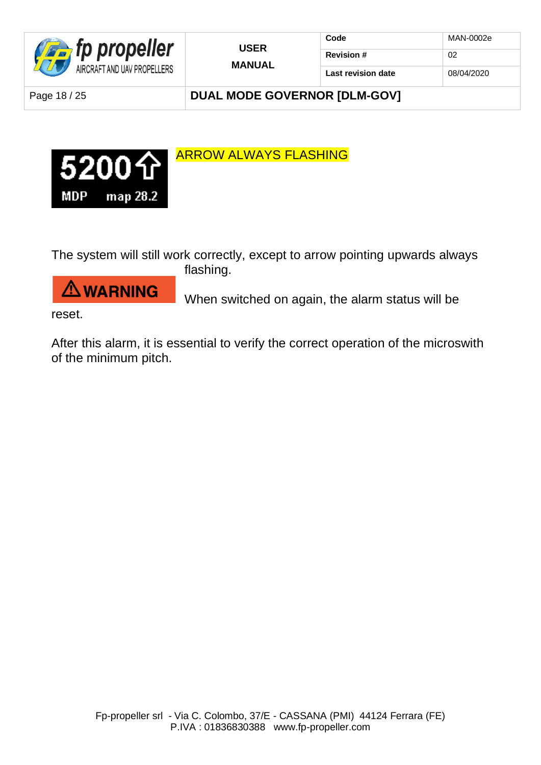

| <b>USER</b>   |
|---------------|
| <b>MANUAL</b> |

| Code               | MAN-0002e  |
|--------------------|------------|
| <b>Revision #</b>  | 02         |
| Last revision date | 08/04/2020 |

Page 18 / 25 **DUAL MODE GOVERNOR [DLM-GOV]** 



The system will still work correctly, except to arrow pointing upwards always

**WARNING** 

flashing.

When switched on again, the alarm status will be

reset.

After this alarm, it is essential to verify the correct operation of the microswith of the minimum pitch.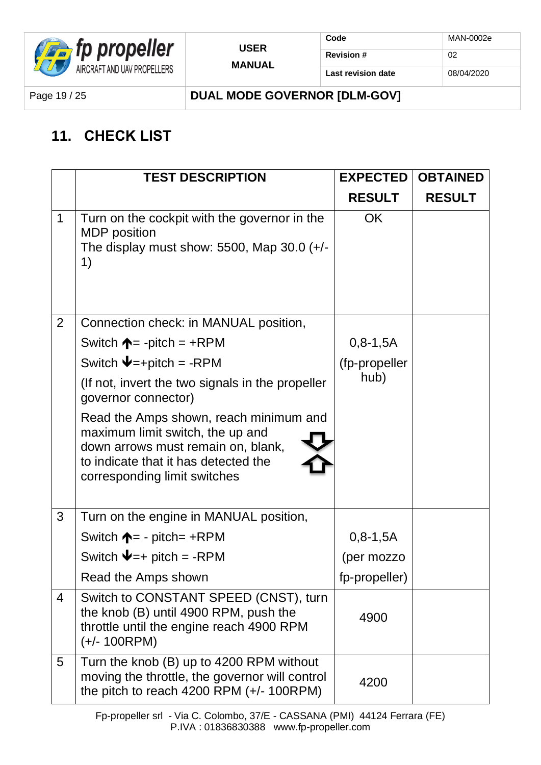

Page 19 / 25 **DUAL MODE GOVERNOR [DLM-GOV]**

### **11. CHECK LIST**

|                | <b>TEST DESCRIPTION</b>                                                                                                                                                                  | <b>EXPECTED</b> | <b>OBTAINED</b> |
|----------------|------------------------------------------------------------------------------------------------------------------------------------------------------------------------------------------|-----------------|-----------------|
|                |                                                                                                                                                                                          | <b>RESULT</b>   | <b>RESULT</b>   |
| $\mathbf 1$    | Turn on the cockpit with the governor in the<br><b>MDP</b> position<br>The display must show: 5500, Map 30.0 $(+/-)$<br>1)                                                               | <b>OK</b>       |                 |
| $\overline{2}$ | Connection check: in MANUAL position,                                                                                                                                                    |                 |                 |
|                | Switch $\uparrow = -$ pitch = +RPM                                                                                                                                                       | $0, 8 - 1, 5A$  |                 |
|                | Switch $\blacktriangleright$ = +pitch = -RPM                                                                                                                                             | (fp-propeller   |                 |
|                | (If not, invert the two signals in the propeller<br>governor connector)                                                                                                                  | hub)            |                 |
|                | Read the Amps shown, reach minimum and<br>maximum limit switch, the up and<br>down arrows must remain on, blank,<br>to indicate that it has detected the<br>corresponding limit switches |                 |                 |
| 3              | Turn on the engine in MANUAL position,                                                                                                                                                   |                 |                 |
|                | Switch $\uparrow = -$ pitch= +RPM                                                                                                                                                        | $0, 8 - 1, 5A$  |                 |
|                | Switch $\blacktriangleright$ = + pitch = -RPM                                                                                                                                            | (per mozzo      |                 |
|                | Read the Amps shown                                                                                                                                                                      | fp-propeller)   |                 |
| $\overline{4}$ | Switch to CONSTANT SPEED (CNST), turn<br>the knob (B) until 4900 RPM, push the<br>throttle until the engine reach 4900 RPM<br>$(+/- 100$ RPM)                                            | 4900            |                 |
| 5              | Turn the knob (B) up to 4200 RPM without<br>moving the throttle, the governor will control<br>the pitch to reach 4200 RPM $(+/- 100$ RPM)                                                | 4200            |                 |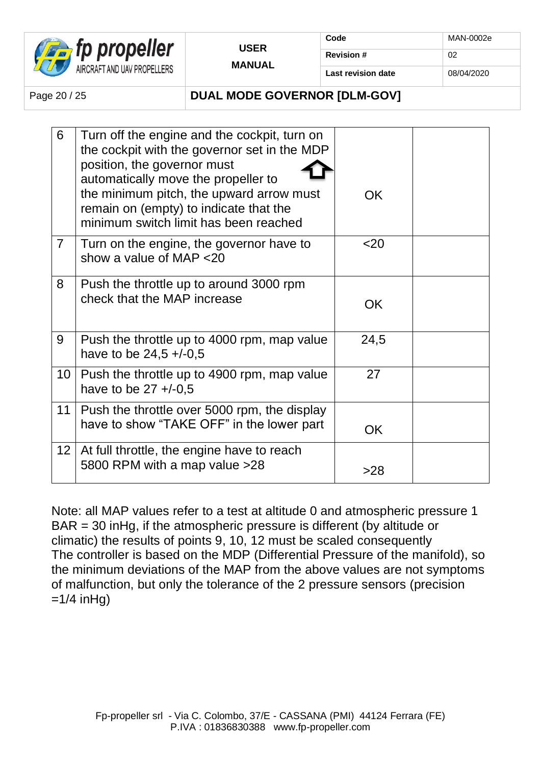

| Code               | MAN-0002e  |
|--------------------|------------|
| <b>Revision #</b>  | ሰን         |
| Last revision date | 08/04/2020 |

### Page 20 / 25 **DUAL MODE GOVERNOR IDLM-GOVI**

| 6              | Turn off the engine and the cockpit, turn on<br>the cockpit with the governor set in the MDP<br>position, the governor must<br>automatically move the propeller to<br>the minimum pitch, the upward arrow must<br>remain on (empty) to indicate that the<br>minimum switch limit has been reached | OK.             |  |
|----------------|---------------------------------------------------------------------------------------------------------------------------------------------------------------------------------------------------------------------------------------------------------------------------------------------------|-----------------|--|
| $\overline{7}$ | Turn on the engine, the governor have to<br>show a value of MAP <20                                                                                                                                                                                                                               | 20 <sub>2</sub> |  |
| 8              | Push the throttle up to around 3000 rpm<br>check that the MAP increase                                                                                                                                                                                                                            | OK              |  |
| 9              | Push the throttle up to 4000 rpm, map value<br>have to be $24,5 + (-0.5)$                                                                                                                                                                                                                         | 24,5            |  |
|                | 10   Push the throttle up to 4900 rpm, map value<br>have to be $27 + (-0.5)$                                                                                                                                                                                                                      | 27              |  |
| 11             | Push the throttle over 5000 rpm, the display<br>have to show "TAKE OFF" in the lower part                                                                                                                                                                                                         | <b>OK</b>       |  |
|                | 12   At full throttle, the engine have to reach<br>5800 RPM with a map value > 28                                                                                                                                                                                                                 | >28             |  |

Note: all MAP values refer to a test at altitude 0 and atmospheric pressure 1 BAR = 30 inHg, if the atmospheric pressure is different (by altitude or climatic) the results of points 9, 10, 12 must be scaled consequently The controller is based on the MDP (Differential Pressure of the manifold), so the minimum deviations of the MAP from the above values are not symptoms of malfunction, but only the tolerance of the 2 pressure sensors (precision  $=1/4$  inHg)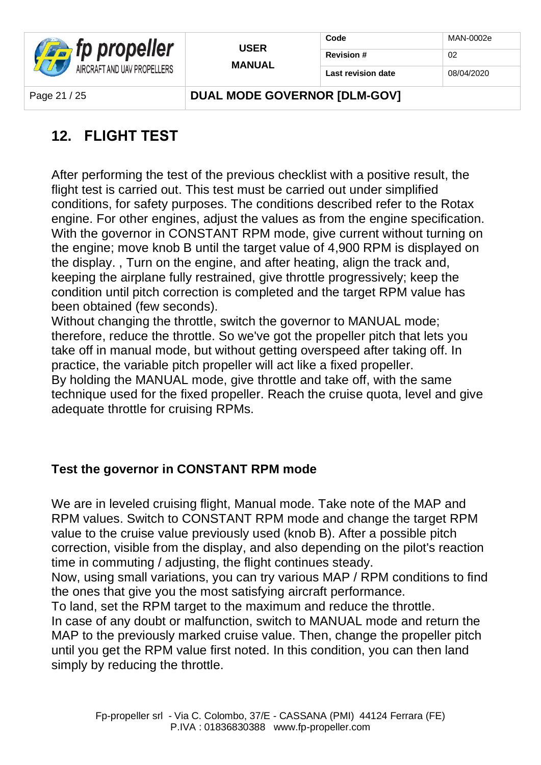

| <b>USER</b> |
|-------------|
| MANUAL      |

Page 21 / 25 **DUAL MODE GOVERNOR IDLM-GOVI** 

### **12. FLIGHT TEST**

After performing the test of the previous checklist with a positive result, the flight test is carried out. This test must be carried out under simplified conditions, for safety purposes. The conditions described refer to the Rotax engine. For other engines, adjust the values as from the engine specification. With the governor in CONSTANT RPM mode, give current without turning on the engine; move knob B until the target value of 4,900 RPM is displayed on the display. , Turn on the engine, and after heating, align the track and, keeping the airplane fully restrained, give throttle progressively; keep the condition until pitch correction is completed and the target RPM value has been obtained (few seconds).

Without changing the throttle, switch the governor to MANUAL mode; therefore, reduce the throttle. So we've got the propeller pitch that lets you take off in manual mode, but without getting overspeed after taking off. In practice, the variable pitch propeller will act like a fixed propeller. By holding the MANUAL mode, give throttle and take off, with the same technique used for the fixed propeller. Reach the cruise quota, level and give adequate throttle for cruising RPMs.

### **Test the governor in CONSTANT RPM mode**

We are in leveled cruising flight, Manual mode. Take note of the MAP and RPM values. Switch to CONSTANT RPM mode and change the target RPM value to the cruise value previously used (knob B). After a possible pitch correction, visible from the display, and also depending on the pilot's reaction time in commuting / adjusting, the flight continues steady.

Now, using small variations, you can try various MAP / RPM conditions to find the ones that give you the most satisfying aircraft performance.

To land, set the RPM target to the maximum and reduce the throttle.

In case of any doubt or malfunction, switch to MANUAL mode and return the MAP to the previously marked cruise value. Then, change the propeller pitch until you get the RPM value first noted. In this condition, you can then land simply by reducing the throttle.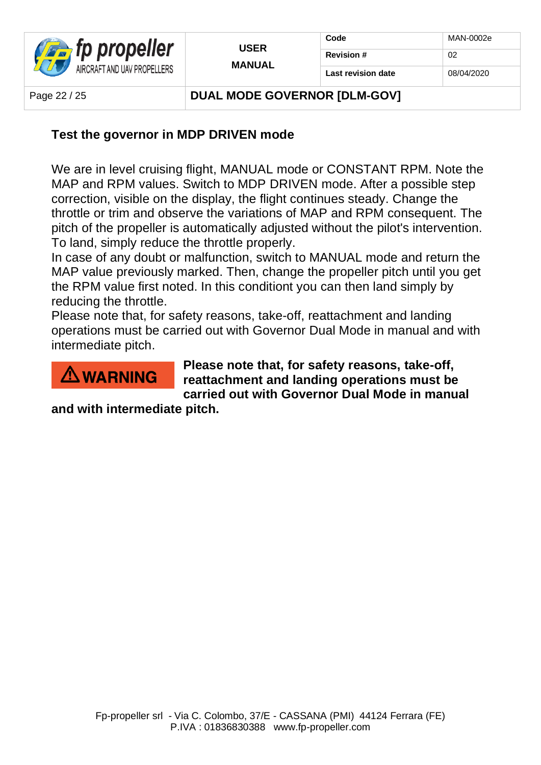

| Code               | MAN-0002e  |
|--------------------|------------|
| <b>Revision#</b>   | 02         |
| Last revision date | 08/04/2020 |

Page 22 / 25 **DUAL MODE GOVERNOR IDLM-GOVI** 

### **Test the governor in MDP DRIVEN mode**

We are in level cruising flight, MANUAL mode or CONSTANT RPM. Note the MAP and RPM values. Switch to MDP DRIVEN mode. After a possible step correction, visible on the display, the flight continues steady. Change the throttle or trim and observe the variations of MAP and RPM consequent. The pitch of the propeller is automatically adjusted without the pilot's intervention. To land, simply reduce the throttle properly.

In case of any doubt or malfunction, switch to MANUAL mode and return the MAP value previously marked. Then, change the propeller pitch until you get the RPM value first noted. In this conditiont you can then land simply by reducing the throttle.

Please note that, for safety reasons, take-off, reattachment and landing operations must be carried out with Governor Dual Mode in manual and with intermediate pitch.



**Please note that, for safety reasons, take-off, reattachment and landing operations must be carried out with Governor Dual Mode in manual** 

**and with intermediate pitch.**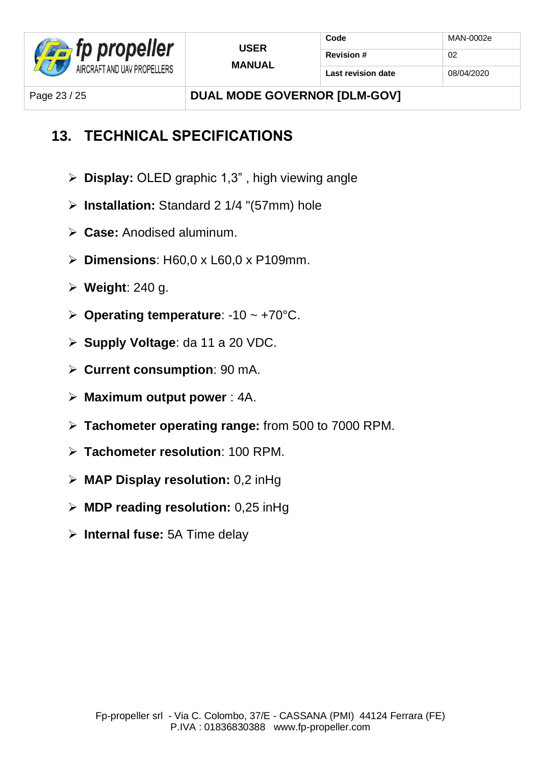

Page 23 / 25 **DUAL MODE GOVERNOR IDLM-GOVI** 

### **13. TECHNICAL SPECIFICATIONS**

- ➢ **Display:** OLED graphic 1,3" , high viewing angle
- ➢ **Installation:** Standard 2 1/4 "(57mm) hole
- ➢ **Case:** Anodised aluminum.
- ➢ **Dimensions**: H60,0 x L60,0 x P109mm.
- ➢ **Weight**: 240 g.
- ➢ **Operating temperature**: -10 ~ +70°C.
- ➢ **Supply Voltage**: da 11 a 20 VDC.
- ➢ **Current consumption**: 90 mA.
- ➢ **Maximum output power** : 4A.
- ➢ **Tachometer operating range:** from 500 to 7000 RPM.
- ➢ **Tachometer resolution**: 100 RPM.
- ➢ **MAP Display resolution:** 0,2 inHg
- ➢ **MDP reading resolution:** 0,25 inHg
- ➢ **Internal fuse:** 5A Time delay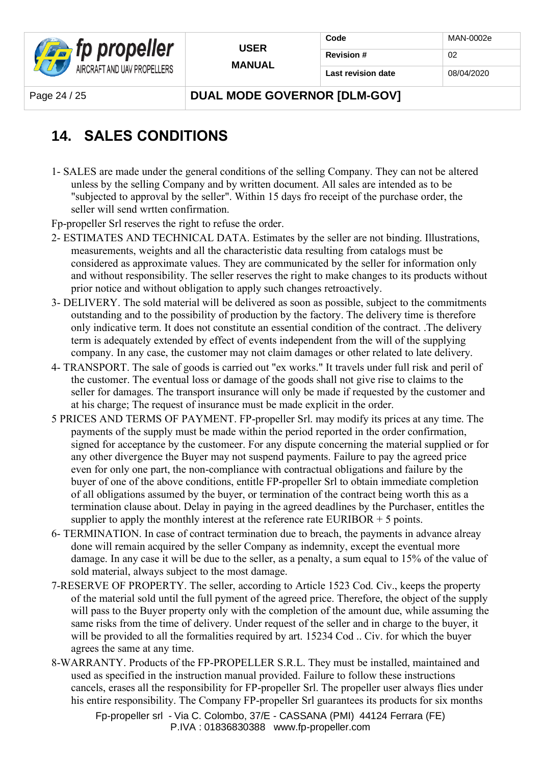

| Code               | MAN-0002e  |
|--------------------|------------|
| <b>Revision #</b>  | 02         |
| Last revision date | 08/04/2020 |

Page 24 / 25 **DUAL MODE GOVERNOR IDLM-GOVI** 

### **14. SALES CONDITIONS**

1- SALES are made under the general conditions of the selling Company. They can not be altered unless by the selling Company and by written document. All sales are intended as to be "subjected to approval by the seller". Within 15 days fro receipt of the purchase order, the seller will send wrtten confirmation.

Fp-propeller Srl reserves the right to refuse the order.

- 2- ESTIMATES AND TECHNICAL DATA. Estimates by the seller are not binding. Illustrations, measurements, weights and all the characteristic data resulting from catalogs must be considered as approximate values. They are communicated by the seller for information only and without responsibility. The seller reserves the right to make changes to its products without prior notice and without obligation to apply such changes retroactively.
- 3- DELIVERY. The sold material will be delivered as soon as possible, subject to the commitments outstanding and to the possibility of production by the factory. The delivery time is therefore only indicative term. It does not constitute an essential condition of the contract. .The delivery term is adequately extended by effect of events independent from the will of the supplying company. In any case, the customer may not claim damages or other related to late delivery.
- 4- TRANSPORT. The sale of goods is carried out "ex works." It travels under full risk and peril of the customer. The eventual loss or damage of the goods shall not give rise to claims to the seller for damages. The transport insurance will only be made if requested by the customer and at his charge; The request of insurance must be made explicit in the order.
- 5 PRICES AND TERMS OF PAYMENT. FP-propeller Srl. may modify its prices at any time. The payments of the supply must be made within the period reported in the order confirmation, signed for acceptance by the customeer. For any dispute concerning the material supplied or for any other divergence the Buyer may not suspend payments. Failure to pay the agreed price even for only one part, the non-compliance with contractual obligations and failure by the buyer of one of the above conditions, entitle FP-propeller Srl to obtain immediate completion of all obligations assumed by the buyer, or termination of the contract being worth this as a termination clause about. Delay in paying in the agreed deadlines by the Purchaser, entitles the supplier to apply the monthly interest at the reference rate  $EURIBOR + 5$  points.
- 6- TERMINATION. In case of contract termination due to breach, the payments in advance alreay done will remain acquired by the seller Company as indemnity, except the eventual more damage. In any case it will be due to the seller, as a penalty, a sum equal to 15% of the value of sold material, always subject to the most damage.
- 7-RESERVE OF PROPERTY. The seller, according to Article 1523 Cod. Civ., keeps the property of the material sold until the full pyment of the agreed price. Therefore, the object of the supply will pass to the Buyer property only with the completion of the amount due, while assuming the same risks from the time of delivery. Under request of the seller and in charge to the buyer, it will be provided to all the formalities required by art. 15234 Cod .. Civ. for which the buyer agrees the same at any time.
- 8-WARRANTY. Products of the FP-PROPELLER S.R.L. They must be installed, maintained and used as specified in the instruction manual provided. Failure to follow these instructions cancels, erases all the responsibility for FP-propeller Srl. The propeller user always flies under his entire responsibility. The Company FP-propeller Srl guarantees its products for six months

Fp-propeller srl - Via C. Colombo, 37/E - CASSANA (PMI) 44124 Ferrara (FE) P.IVA : 01836830388 www.fp-propeller.com